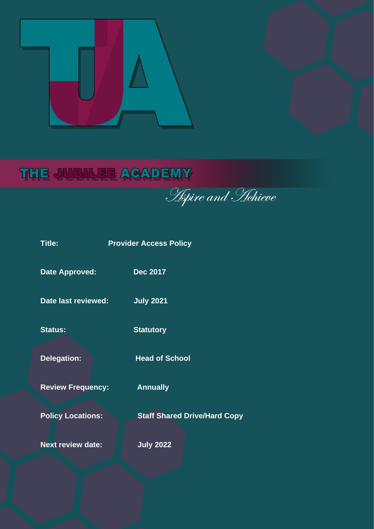

# THE JUBILEE ACADEMY

**Aspire and Hehieve** 

| <b>Title:</b>            | <b>Provider Access Policy</b>       |  |  |
|--------------------------|-------------------------------------|--|--|
| <b>Date Approved:</b>    | <b>Dec 2017</b>                     |  |  |
| Date last reviewed:      | <b>July 2021</b>                    |  |  |
| <b>Status:</b>           | <b>Statutory</b>                    |  |  |
| <b>Delegation:</b>       | <b>Head of School</b>               |  |  |
| <b>Review Frequency:</b> | <b>Annually</b>                     |  |  |
| <b>Policy Locations:</b> | <b>Staff Shared Drive/Hard Copy</b> |  |  |
| <b>Next review date:</b> | <b>July 2022</b>                    |  |  |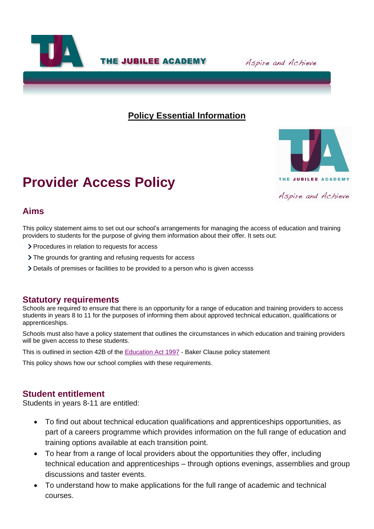

**THE JUBILEE ACADEMY** 

Aspire and Achieve

## **Policy Essential Information**



# **Provider Access Policy**

### **Aims**

This policy statement aims to set out our school's arrangements for managing the access of education and training providers to students for the purpose of giving them information about their offer. It sets out:

- > Procedures in relation to requests for access
- > The grounds for granting and refusing requests for access
- Details of premises or facilities to be provided to a person who is given accesss

#### **Statutory requirements**

Schools are required to ensure that there is an opportunity for a range of education and training providers to access students in years 8 to 11 for the purposes of informing them about approved technical education, qualifications or apprenticeships.

Schools must also have a policy statement that outlines the circumstances in which education and training providers will be given access to these students.

This is outlined in section 42B of the [Education Act 1997](https://www.legislation.gov.uk/ukpga/1997/44/section/42B) - Baker Clause policy statement

This policy shows how our school complies with these requirements.

### **Student entitlement**

Students in years 8-11 are entitled:

- To find out about technical education qualifications and apprenticeships opportunities, as part of a careers programme which provides information on the full range of education and training options available at each transition point.
- To hear from a range of local providers about the opportunities they offer, including technical education and apprenticeships – through options evenings, assemblies and group discussions and taster events.
- To understand how to make applications for the full range of academic and technical courses.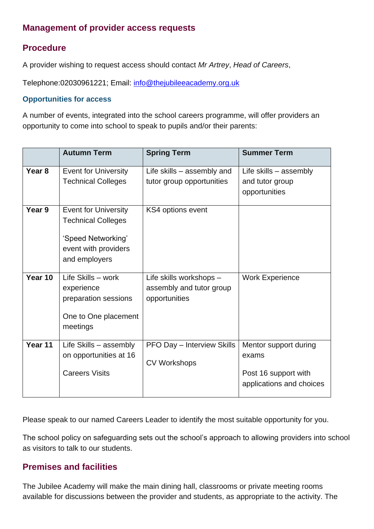# **Management of provider access requests**

## **Procedure**

A provider wishing to request access should contact *Mr Artrey*, *Head of Careers*,

Telephone:02030961221; Email: [info@thejubileeacademy.org.uk](mailto:info@thejubileeacademy.org.uk)

#### **Opportunities for access**

A number of events, integrated into the school careers programme, will offer providers an opportunity to come into school to speak to pupils and/or their parents:

|                   | <b>Autumn Term</b>          | <b>Spring Term</b>         | <b>Summer Term</b>       |
|-------------------|-----------------------------|----------------------------|--------------------------|
| Year <sub>8</sub> | <b>Event for University</b> | Life skills - assembly and | Life skills $-$ assembly |
|                   | <b>Technical Colleges</b>   | tutor group opportunities  | and tutor group          |
|                   |                             |                            | opportunities            |
| Year 9            | <b>Event for University</b> | KS4 options event          |                          |
|                   | <b>Technical Colleges</b>   |                            |                          |
|                   |                             |                            |                          |
|                   | 'Speed Networking'          |                            |                          |
|                   | event with providers        |                            |                          |
|                   | and employers               |                            |                          |
|                   |                             |                            |                          |
| Year 10           | Life Skills - work          | Life skills workshops -    | <b>Work Experience</b>   |
|                   | experience                  | assembly and tutor group   |                          |
|                   | preparation sessions        | opportunities              |                          |
|                   | One to One placement        |                            |                          |
|                   | meetings                    |                            |                          |
|                   |                             |                            |                          |
| Year 11           | Life Skills - assembly      | PFO Day - Interview Skills | Mentor support during    |
|                   | on opportunities at 16      |                            | exams                    |
|                   |                             | <b>CV Workshops</b>        |                          |
|                   | <b>Careers Visits</b>       |                            | Post 16 support with     |
|                   |                             |                            | applications and choices |
|                   |                             |                            |                          |

Please speak to our named Careers Leader to identify the most suitable opportunity for you.

The school policy on safeguarding sets out the school's approach to allowing providers into school as visitors to talk to our students.

# **Premises and facilities**

The Jubilee Academy will make the main dining hall, classrooms or private meeting rooms available for discussions between the provider and students, as appropriate to the activity. The